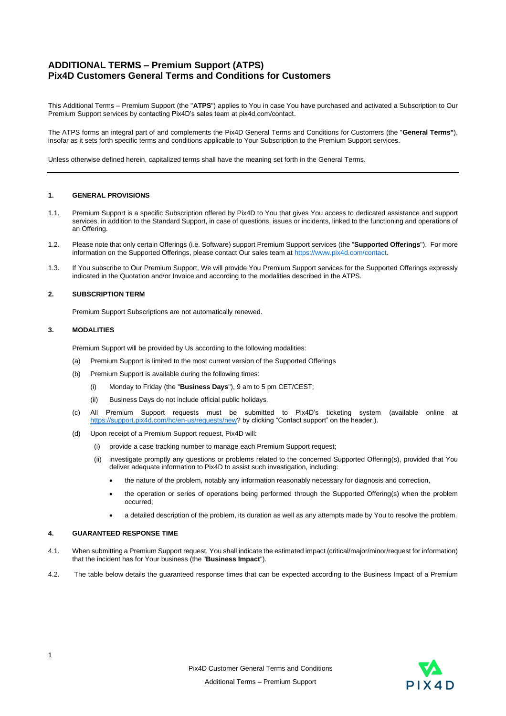# **ADDITIONAL TERMS – Premium Support (ATPS) Pix4D Customers General Terms and Conditions for Customers**

This Additional Terms – Premium Support (the "**ATPS**") applies to You in case You have purchased and activated a Subscription to Our Premium Support services by contacting Pix4D's sales team at pix4d.com/contact.

The ATPS forms an integral part of and complements the Pix4D General Terms and Conditions for Customers (the "**General Terms"**), insofar as it sets forth specific terms and conditions applicable to Your Subscription to the Premium Support services.

Unless otherwise defined herein, capitalized terms shall have the meaning set forth in the General Terms.

#### **1. GENERAL PROVISIONS**

- 1.1. Premium Support is a specific Subscription offered by Pix4D to You that gives You access to dedicated assistance and support services, in addition to the Standard Support, in case of questions, issues or incidents, linked to the functioning and operations of an Offering.
- 1.2. Please note that only certain Offerings (i.e. Software) support Premium Support services (the "**Supported Offerings**"). For more information on the Supported Offerings, please contact Our sales team a[t https://www.pix4d.com/contact.](https://www.pix4d.com/contact)
- 1.3. If You subscribe to Our Premium Support, We will provide You Premium Support services for the Supported Offerings expressly indicated in the Quotation and/or Invoice and according to the modalities described in the ATPS.

# **2. SUBSCRIPTION TERM**

Premium Support Subscriptions are not automatically renewed.

#### **3. MODALITIES**

Premium Support will be provided by Us according to the following modalities:

- (a) Premium Support is limited to the most current version of the Supported Offerings
- (b) Premium Support is available during the following times:
	- (i) Monday to Friday (the "**Business Days**"), 9 am to 5 pm CET/CEST;
	- (ii) Business Days do not include official public holidays.
- (c) All Premium Support requests must be submitted to Pix4D's ticketing system (available online at [https://support.pix4d.com/hc/en-us/requests/new?](https://support.pix4d.com/hc/en-us/requests/new) by clicking "Contact support" on the header.).
- (d) Upon receipt of a Premium Support request, Pix4D will:
	- (i) provide a case tracking number to manage each Premium Support request;
	- (ii) investigate promptly any questions or problems related to the concerned Supported Offering(s), provided that You deliver adequate information to Pix4D to assist such investigation, including:
		- the nature of the problem, notably any information reasonably necessary for diagnosis and correction,
		- the operation or series of operations being performed through the Supported Offering(s) when the problem occurred;
		- a detailed description of the problem, its duration as well as any attempts made by You to resolve the problem.

#### **4. GUARANTEED RESPONSE TIME**

- 4.1. When submitting a Premium Support request, You shall indicate the estimated impact (critical/major/minor/request for information) that the incident has for Your business (the "**Business Impact**").
- 4.2. The table below details the guaranteed response times that can be expected according to the Business Impact of a Premium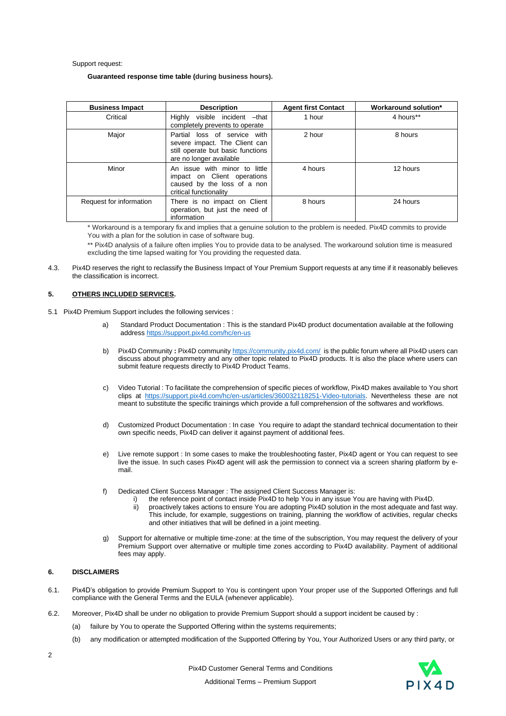Support request:

#### **Guaranteed response time table (during business hours).**

| <b>Business Impact</b>  | <b>Description</b>                                                                                                            | <b>Agent first Contact</b> | Workaround solution* |
|-------------------------|-------------------------------------------------------------------------------------------------------------------------------|----------------------------|----------------------|
| Critical                | Highly visible incident - that<br>completely prevents to operate                                                              | 1 hour                     | 4 hours**            |
| Major                   | Partial loss of service with<br>severe impact. The Client can<br>still operate but basic functions<br>are no longer available | 2 hour                     | 8 hours              |
| Minor                   | An issue with minor to little<br>impact on Client operations<br>caused by the loss of a non<br>critical functionality         | 4 hours                    | 12 hours             |
| Request for information | There is no impact on Client<br>operation, but just the need of<br>information                                                | 8 hours                    | 24 hours             |

\* Workaround is a temporary fix and implies that a genuine solution to the problem is needed. Pix4D commits to provide You with a plan for the solution in case of software bug.

\*\* Pix4D analysis of a failure often implies You to provide data to be analysed. The workaround solution time is measured excluding the time lapsed waiting for You providing the requested data.

4.3. Pix4D reserves the right to reclassify the Business Impact of Your Premium Support requests at any time if it reasonably believes the classification is incorrect.

## **5. OTHERS INCLUDED SERVICES.**

- 5.1 Pix4D Premium Support includes the following services :
	- a) Standard Product Documentation : This is the standard Pix4D product documentation available at the following addres[s https://support.pix4d.com/hc/en-us](https://support.pix4d.com/hc/en-us)
	- b) Pix4D Community : Pix4D communit[y https://community.pix4d.com/](https://community.pix4d.com/) is the public forum where all Pix4D users can discuss about phogrammetry and any other topic related to Pix4D products. It is also the place where users can submit feature requests directly to Pix4D Product Teams.
	- c) Video Tutorial : To facilitate the comprehension of specific pieces of workflow, Pix4D makes available to You short clips at [https://support.pix4d.com/hc/en-us/articles/360032118251-Video-tutorials.](https://support.pix4d.com/hc/en-us/articles/360032118251-Video-tutorials) Nevertheless these are not meant to substitute the specific trainings which provide a full comprehension of the softwares and workflows.
	- d) Customized Product Documentation : In case You require to adapt the standard technical documentation to their own specific needs, Pix4D can deliver it against payment of additional fees.
	- e) Live remote support : In some cases to make the troubleshooting faster, Pix4D agent or You can request to see live the issue. In such cases Pix4D agent will ask the permission to connect via a screen sharing platform by email.
	- f) Dedicated Client Success Manager : The assigned Client Success Manager is:
		- i) the reference point of contact inside Pix4D to help You in any issue You are having with Pix4D.<br>ii) proactively takes actions to ensure You are adopting Pix4D solution in the most adequate and fa proactively takes actions to ensure You are adopting Pix4D solution in the most adequate and fast way. This include, for example, suggestions on training, planning the workflow of activities, regular checks and other initiatives that will be defined in a joint meeting.
	- g) Support for alternative or multiple time-zone: at the time of the subscription, You may request the delivery of your Premium Support over alternative or multiple time zones according to Pix4D availability. Payment of additional fees may apply.

## **6. DISCLAIMERS**

- 6.1. Pix4D's obligation to provide Premium Support to You is contingent upon Your proper use of the Supported Offerings and full compliance with the General Terms and the EULA (whenever applicable).
- 6.2. Moreover, Pix4D shall be under no obligation to provide Premium Support should a support incident be caused by :
	- (a) failure by You to operate the Supported Offering within the systems requirements;
	- (b) any modification or attempted modification of the Supported Offering by You, Your Authorized Users or any third party, or
- $\overline{2}$